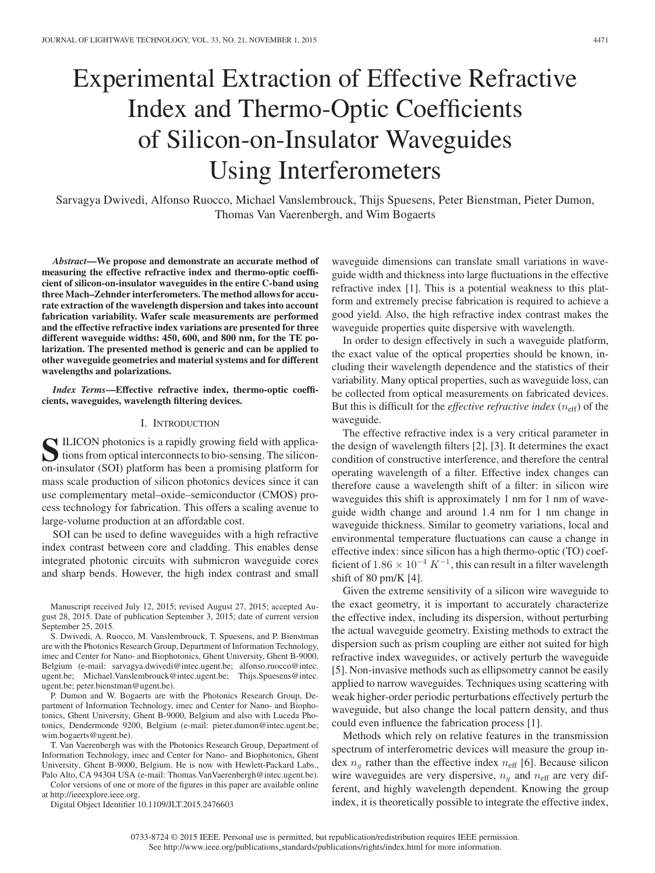# Experimental Extraction of Effective Refractive Index and Thermo-Optic Coefficients of Silicon-on-Insulator Waveguides Using Interferometers

Sarvagya Dwivedi, Alfonso Ruocco, Michael Vanslembrouck, Thijs Spuesens, Peter Bienstman, Pieter Dumon, Thomas Van Vaerenbergh, and Wim Bogaerts

*Abstract***—We propose and demonstrate an accurate method of measuring the effective refractive index and thermo-optic coefficient of silicon-on-insulator waveguides in the entire C-band using three Mach–Zehnder interferometers. The method allows for accurate extraction of the wavelength dispersion and takes into account fabrication variability. Wafer scale measurements are performed and the effective refractive index variations are presented for three different waveguide widths: 450, 600, and 800 nm, for the TE polarization. The presented method is generic and can be applied to other waveguide geometries and material systems and for different wavelengths and polarizations.**

*Index Terms***—Effective refractive index, thermo-optic coefficients, waveguides, wavelength filtering devices.**

## I. INTRODUCTION

**S**ILICON photonics is a rapidly growing field with applications from optical interconnects to bio-sensing. The siliconon-insulator (SOI) platform has been a promising platform for mass scale production of silicon photonics devices since it can use complementary metal–oxide–semiconductor (CMOS) process technology for fabrication. This offers a scaling avenue to large-volume production at an affordable cost.

SOI can be used to define waveguides with a high refractive index contrast between core and cladding. This enables dense integrated photonic circuits with submicron waveguide cores and sharp bends. However, the high index contrast and small

Manuscript received July 12, 2015; revised August 27, 2015; accepted August 28, 2015. Date of publication September 3, 2015; date of current version September 25, 2015.

S. Dwivedi, A. Ruocco, M. Vanslembrouck, T. Spuesens, and P. Bienstman are with the Photonics Research Group, Department of Information Technology, imec and Center for Nano- and Biophotonics, Ghent University, Ghent B-9000, Belgium (e-mail: sarvagya.dwivedi@intec.ugent.be; alfonso.ruocco@intec. ugent.be; Michael.Vanslembrouck@intec.ugent.be; Thijs.Spuesens@intec. ugent.be; peter.bienstman@ugent.be).

P. Dumon and W. Bogaerts are with the Photonics Research Group, Department of Information Technology, imec and Center for Nano- and Biophotonics, Ghent University, Ghent B-9000, Belgium and also with Luceda Photonics, Dendermonde 9200, Belgium (e-mail: pieter.dumon@intec.ugent.be; wim.bogaerts@ugent.be).

T. Van Vaerenbergh was with the Photonics Research Group, Department of Information Technology, imec and Center for Nano- and Biophotonics, Ghent University, Ghent B-9000, Belgium. He is now with Hewlett-Packard Labs., Palo Alto, CA 94304 USA (e-mail: Thomas.VanVaerenbergh@intec.ugent.be).

Color versions of one or more of the figures in this paper are available online at http://ieeexplore.ieee.org.

Digital Object Identifier 10.1109/JLT.2015.2476603

waveguide dimensions can translate small variations in waveguide width and thickness into large fluctuations in the effective refractive index [1]. This is a potential weakness to this platform and extremely precise fabrication is required to achieve a good yield. Also, the high refractive index contrast makes the waveguide properties quite dispersive with wavelength.

In order to design effectively in such a waveguide platform, the exact value of the optical properties should be known, including their wavelength dependence and the statistics of their variability. Many optical properties, such as waveguide loss, can be collected from optical measurements on fabricated devices. But this is difficult for the *effective refractive index*  $(n_{\text{eff}})$  of the waveguide.

The effective refractive index is a very critical parameter in the design of wavelength filters [2], [3]. It determines the exact condition of constructive interference, and therefore the central operating wavelength of a filter. Effective index changes can therefore cause a wavelength shift of a filter: in silicon wire waveguides this shift is approximately 1 nm for 1 nm of waveguide width change and around 1.4 nm for 1 nm change in waveguide thickness. Similar to geometry variations, local and environmental temperature fluctuations can cause a change in effective index: since silicon has a high thermo-optic (TO) coefficient of  $1.86 \times 10^{-4}$  K<sup>-1</sup>, this can result in a filter wavelength shift of 80 pm/K  $[4]$ .

Given the extreme sensitivity of a silicon wire waveguide to the exact geometry, it is important to accurately characterize the effective index, including its dispersion, without perturbing the actual waveguide geometry. Existing methods to extract the dispersion such as prism coupling are either not suited for high refractive index waveguides, or actively perturb the waveguide [5]. Non-invasive methods such as ellipsometry cannot be easily applied to narrow waveguides. Techniques using scattering with weak higher-order periodic perturbations effectively perturb the waveguide, but also change the local pattern density, and thus could even influence the fabrication process [1].

Methods which rely on relative features in the transmission spectrum of interferometric devices will measure the group index  $n_g$  rather than the effective index  $n_{\text{eff}}$  [6]. Because silicon wire waveguides are very dispersive,  $n<sub>g</sub>$  and  $n<sub>eff</sub>$  are very different, and highly wavelength dependent. Knowing the group index, it is theoretically possible to integrate the effective index,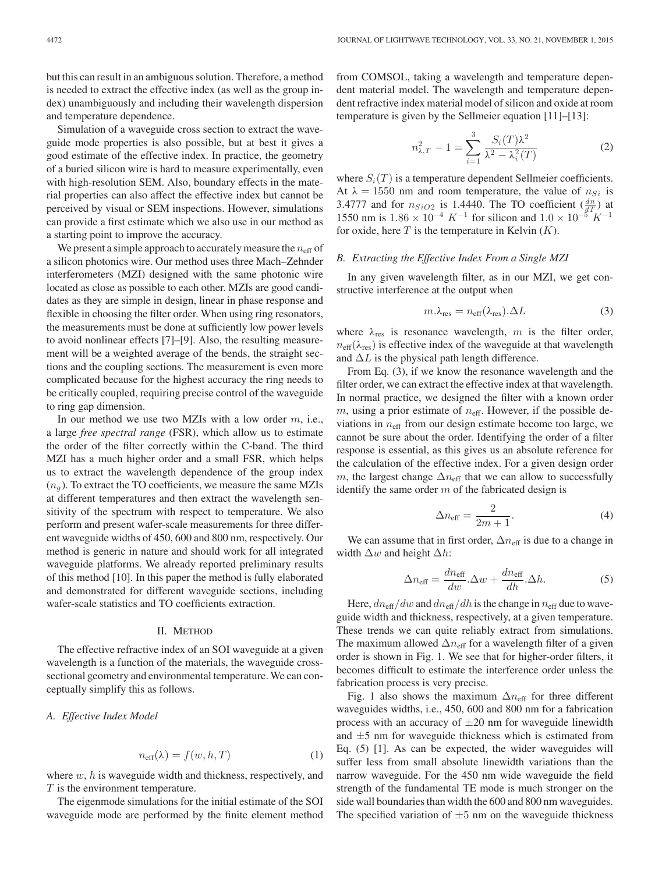but this can result in an ambiguous solution. Therefore, a method is needed to extract the effective index (as well as the group index) unambiguously and including their wavelength dispersion and temperature dependence.

Simulation of a waveguide cross section to extract the waveguide mode properties is also possible, but at best it gives a good estimate of the effective index. In practice, the geometry of a buried silicon wire is hard to measure experimentally, even with high-resolution SEM. Also, boundary effects in the material properties can also affect the effective index but cannot be perceived by visual or SEM inspections. However, simulations can provide a first estimate which we also use in our method as a starting point to improve the accuracy.

We present a simple approach to accurately measure the  $n_{\text{eff}}$  of a silicon photonics wire. Our method uses three Mach–Zehnder interferometers (MZI) designed with the same photonic wire located as close as possible to each other. MZIs are good candidates as they are simple in design, linear in phase response and flexible in choosing the filter order. When using ring resonators, the measurements must be done at sufficiently low power levels to avoid nonlinear effects [7]–[9]. Also, the resulting measurement will be a weighted average of the bends, the straight sections and the coupling sections. The measurement is even more complicated because for the highest accuracy the ring needs to be critically coupled, requiring precise control of the waveguide to ring gap dimension.

In our method we use two MZIs with a low order  $m$ , i.e., a large *free spectral range* (FSR), which allow us to estimate the order of the filter correctly within the C-band. The third MZI has a much higher order and a small FSR, which helps us to extract the wavelength dependence of the group index  $(n_q)$ . To extract the TO coefficients, we measure the same MZIs at different temperatures and then extract the wavelength sensitivity of the spectrum with respect to temperature. We also perform and present wafer-scale measurements for three different waveguide widths of 450, 600 and 800 nm, respectively. Our method is generic in nature and should work for all integrated waveguide platforms. We already reported preliminary results of this method [10]. In this paper the method is fully elaborated and demonstrated for different waveguide sections, including wafer-scale statistics and TO coefficients extraction.

#### II. METHOD

The effective refractive index of an SOI waveguide at a given wavelength is a function of the materials, the waveguide crosssectional geometry and environmental temperature. We can conceptually simplify this as follows.

*A. Effective Index Model*

$$
n_{\text{eff}}(\lambda) = f(w, h, T) \tag{1}
$$

where  $w$ ,  $h$  is waveguide width and thickness, respectively, and T is the environment temperature.

The eigenmode simulations for the initial estimate of the SOI waveguide mode are performed by the finite element method from COMSOL, taking a wavelength and temperature dependent material model. The wavelength and temperature dependent refractive index material model of silicon and oxide at room temperature is given by the Sellmeier equation [11]–[13]:

$$
n_{\lambda,T}^2 - 1 = \sum_{i=1}^3 \frac{S_i(T)\lambda^2}{\lambda^2 - \lambda_i^2(T)}
$$
 (2)

where  $S_i(T)$  is a temperature dependent Sellmeier coefficients. At  $\lambda = 1550$  nm and room temperature, the value of  $n_{Si}$  is 3.4777 and for  $n_{SiO2}$  is 1.4440. The TO coefficient  $\left(\frac{dn}{dT}\right)$  at 1550 nm is  $1.86 \times 10^{-4}$  K<sup>-1</sup> for silicon and  $1.0 \times 10^{-5}$  K<sup>-1</sup> for oxide, here  $T$  is the temperature in Kelvin  $(K)$ .

## *B. Extracting the Effective Index From a Single MZI*

In any given wavelength filter, as in our MZI, we get constructive interference at the output when

$$
m.\lambda_{\rm res} = n_{\rm eff}(\lambda_{\rm res}).\Delta L \tag{3}
$$

where  $\lambda_{res}$  is resonance wavelength, m is the filter order,  $n_{\text{eff}}(\lambda_{\text{res}})$  is effective index of the waveguide at that wavelength and  $\Delta L$  is the physical path length difference.

From Eq. (3), if we know the resonance wavelength and the filter order, we can extract the effective index at that wavelength. In normal practice, we designed the filter with a known order m, using a prior estimate of  $n_{\text{eff}}$ . However, if the possible deviations in  $n_{\text{eff}}$  from our design estimate become too large, we cannot be sure about the order. Identifying the order of a filter response is essential, as this gives us an absolute reference for the calculation of the effective index. For a given design order m, the largest change  $\Delta n_{\text{eff}}$  that we can allow to successfully identify the same order  $m$  of the fabricated design is

$$
\Delta n_{\text{eff}} = \frac{2}{2m+1}.\tag{4}
$$

We can assume that in first order,  $\Delta n_{\text{eff}}$  is due to a change in width  $\Delta w$  and height  $\Delta h$ :

$$
\Delta n_{\text{eff}} = \frac{dn_{\text{eff}}}{dw} . \Delta w + \frac{dn_{\text{eff}}}{dh} . \Delta h. \tag{5}
$$

Here,  $dn_{\text{eff}}/dw$  and  $dn_{\text{eff}}/dh$  is the change in  $n_{\text{eff}}$  due to waveguide width and thickness, respectively, at a given temperature. These trends we can quite reliably extract from simulations. The maximum allowed  $\Delta n_{\text{eff}}$  for a wavelength filter of a given order is shown in Fig. 1. We see that for higher-order filters, it becomes difficult to estimate the interference order unless the fabrication process is very precise.

Fig. 1 also shows the maximum  $\Delta n_{\text{eff}}$  for three different waveguides widths, i.e., 450, 600 and 800 nm for a fabrication process with an accuracy of  $\pm 20$  nm for waveguide linewidth and  $\pm$ 5 nm for waveguide thickness which is estimated from Eq. (5) [1]. As can be expected, the wider waveguides will suffer less from small absolute linewidth variations than the narrow waveguide. For the 450 nm wide waveguide the field strength of the fundamental TE mode is much stronger on the side wall boundaries than width the 600 and 800 nm waveguides. The specified variation of  $\pm 5$  nm on the waveguide thickness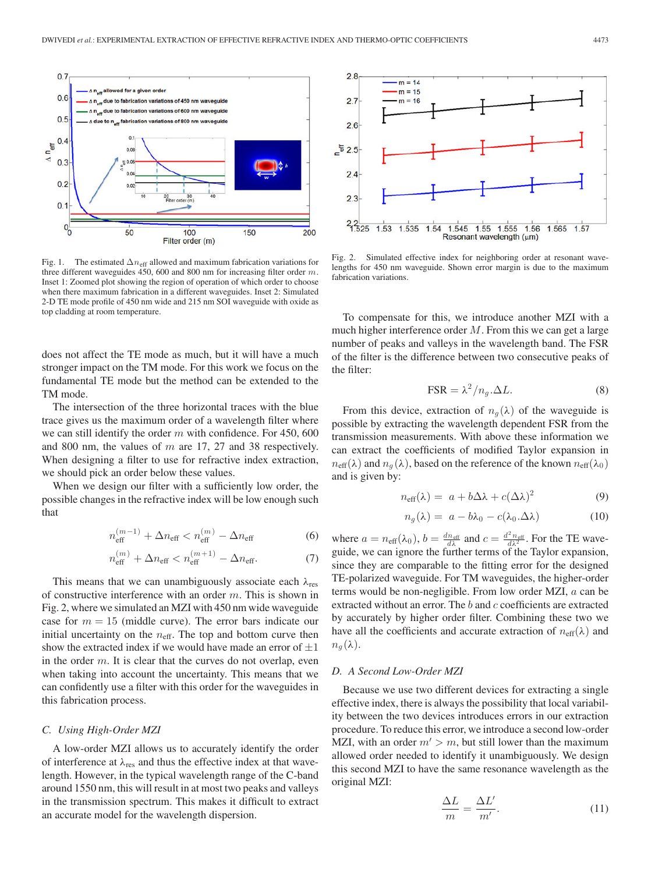

Fig. 1. The estimated  $\Delta n_{\text{eff}}$  allowed and maximum fabrication variations for three different waveguides 450, 600 and 800 nm for increasing filter order m. Inset 1: Zoomed plot showing the region of operation of which order to choose when there maximum fabrication in a different waveguides. Inset 2: Simulated 2-D TE mode profile of 450 nm wide and 215 nm SOI waveguide with oxide as top cladding at room temperature.

does not affect the TE mode as much, but it will have a much stronger impact on the TM mode. For this work we focus on the fundamental TE mode but the method can be extended to the TM mode.

The intersection of the three horizontal traces with the blue trace gives us the maximum order of a wavelength filter where we can still identify the order  $m$  with confidence. For 450, 600 and 800 nm, the values of m are 17, 27 and 38 respectively. When designing a filter to use for refractive index extraction, we should pick an order below these values.

When we design our filter with a sufficiently low order, the possible changes in the refractive index will be low enough such that

$$
n_{\text{eff}}^{(m-1)} + \Delta n_{\text{eff}} < n_{\text{eff}}^{(m)} - \Delta n_{\text{eff}} \tag{6}
$$

$$
n_{\text{eff}}^{(m)} + \Delta n_{\text{eff}} < n_{\text{eff}}^{(m+1)} - \Delta n_{\text{eff}}.\tag{7}
$$

This means that we can unambiguously associate each  $\lambda_{res}$ of constructive interference with an order  $m$ . This is shown in Fig. 2, where we simulated an MZI with 450 nm wide waveguide case for  $m = 15$  (middle curve). The error bars indicate our initial uncertainty on the  $n_{\text{eff}}$ . The top and bottom curve then show the extracted index if we would have made an error of  $\pm 1$ in the order  $m$ . It is clear that the curves do not overlap, even when taking into account the uncertainty. This means that we can confidently use a filter with this order for the waveguides in this fabrication process.

#### *C. Using High-Order MZI*

A low-order MZI allows us to accurately identify the order of interference at  $\lambda_{res}$  and thus the effective index at that wavelength. However, in the typical wavelength range of the C-band around 1550 nm, this will result in at most two peaks and valleys in the transmission spectrum. This makes it difficult to extract an accurate model for the wavelength dispersion.



Fig. 2. Simulated effective index for neighboring order at resonant wavelengths for 450 nm waveguide. Shown error margin is due to the maximum fabrication variations.

To compensate for this, we introduce another MZI with a much higher interference order  $M$ . From this we can get a large number of peaks and valleys in the wavelength band. The FSR of the filter is the difference between two consecutive peaks of the filter:

$$
\text{FSR} = \lambda^2 / n_g \Delta L. \tag{8}
$$

From this device, extraction of  $n_q(\lambda)$  of the waveguide is possible by extracting the wavelength dependent FSR from the transmission measurements. With above these information we can extract the coefficients of modified Taylor expansion in  $n_{\text{eff}}(\lambda)$  and  $n_g(\lambda)$ , based on the reference of the known  $n_{\text{eff}}(\lambda_0)$ and is given by:

$$
n_{\text{eff}}(\lambda) = a + b\Delta\lambda + c(\Delta\lambda)^2 \tag{9}
$$

$$
n_g(\lambda) = a - b\lambda_0 - c(\lambda_0.\Delta\lambda) \tag{10}
$$

where  $a = n_{\text{eff}}(\lambda_0)$ ,  $b = \frac{dn_{\text{eff}}}{d\lambda}$  and  $c = \frac{d^2 n_{\text{eff}}}{d\lambda^2}$ . For the TE waveguide, we can ignore the further terms of the Taylor expansion, since they are comparable to the fitting error for the designed TE-polarized waveguide. For TM waveguides, the higher-order terms would be non-negligible. From low order MZI, a can be extracted without an error. The b and c coefficients are extracted by accurately by higher order filter. Combining these two we have all the coefficients and accurate extraction of  $n_{\text{eff}}(\lambda)$  and  $n_q(\lambda)$ .

# *D. A Second Low-Order MZI*

Because we use two different devices for extracting a single effective index, there is always the possibility that local variability between the two devices introduces errors in our extraction procedure. To reduce this error, we introduce a second low-order MZI, with an order  $m' > m$ , but still lower than the maximum allowed order needed to identify it unambiguously. We design this second MZI to have the same resonance wavelength as the original MZI:

$$
\frac{\Delta L}{m} = \frac{\Delta L'}{m'}.\tag{11}
$$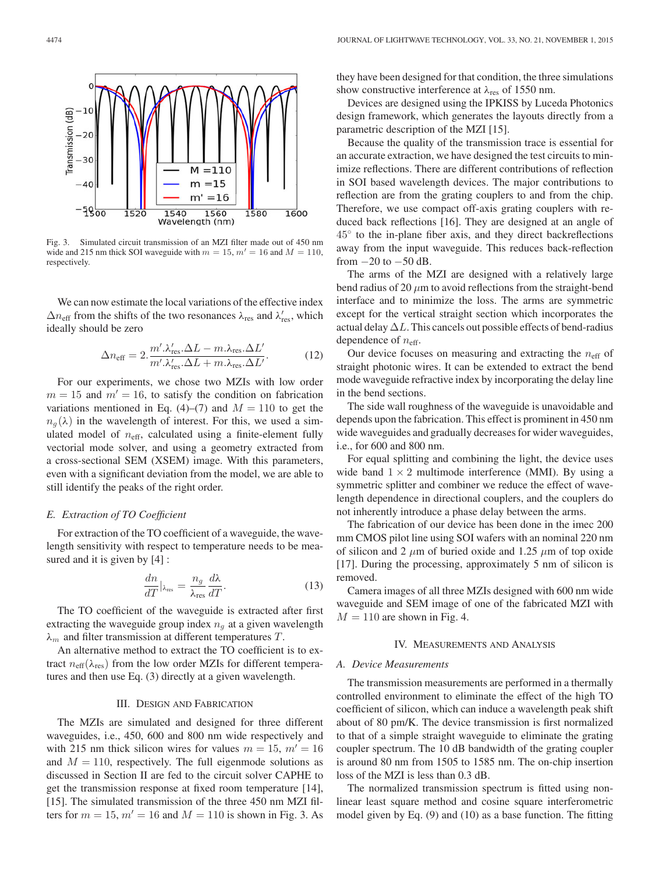

Fig. 3. Simulated circuit transmission of an MZI filter made out of 450 nm wide and 215 nm thick SOI waveguide with  $m = 15$ ,  $m' = 16$  and  $M = 110$ , respectively.

We can now estimate the local variations of the effective index  $\Delta n_{\text{eff}}$  from the shifts of the two resonances  $\lambda_{\text{res}}$  and  $\lambda'_{\text{res}}$ , which ideally should be zero

$$
\Delta n_{\rm eff} = 2. \frac{m' \cdot \lambda'_{\rm res} \cdot \Delta L - m \cdot \lambda_{\rm res} \cdot \Delta L'}{m' \cdot \lambda'_{\rm res} \cdot \Delta L + m \cdot \lambda_{\rm res} \cdot \Delta L'}.
$$
(12)

For our experiments, we chose two MZIs with low order  $m = 15$  and  $m' = 16$ , to satisfy the condition on fabrication variations mentioned in Eq. (4)–(7) and  $M = 110$  to get the  $n_q(\lambda)$  in the wavelength of interest. For this, we used a simulated model of  $n_{\text{eff}}$ , calculated using a finite-element fully vectorial mode solver, and using a geometry extracted from a cross-sectional SEM (XSEM) image. With this parameters, even with a significant deviation from the model, we are able to still identify the peaks of the right order.

# *E. Extraction of TO Coefficient*

For extraction of the TO coefficient of a waveguide, the wavelength sensitivity with respect to temperature needs to be measured and it is given by [4] :

$$
\frac{dn}{dT}\Big|_{\lambda_{\rm res}} = \frac{n_g}{\lambda_{\rm res}} \frac{d\lambda}{dT}.\tag{13}
$$

The TO coefficient of the waveguide is extracted after first extracting the waveguide group index  $n<sub>q</sub>$  at a given wavelength  $\lambda_m$  and filter transmission at different temperatures T.

An alternative method to extract the TO coefficient is to extract  $n_{\text{eff}}(\lambda_{\text{res}})$  from the low order MZIs for different temperatures and then use Eq. (3) directly at a given wavelength.

# III. DESIGN AND FABRICATION

The MZIs are simulated and designed for three different waveguides, i.e., 450, 600 and 800 nm wide respectively and with 215 nm thick silicon wires for values  $m = 15$ ,  $m' = 16$ and  $M = 110$ , respectively. The full eigenmode solutions as discussed in Section II are fed to the circuit solver CAPHE to get the transmission response at fixed room temperature [14], [15]. The simulated transmission of the three 450 nm MZI filters for  $m = 15$ ,  $m' = 16$  and  $M = 110$  is shown in Fig. 3. As

they have been designed for that condition, the three simulations show constructive interference at  $\lambda_{res}$  of 1550 nm.

Devices are designed using the IPKISS by Luceda Photonics design framework, which generates the layouts directly from a parametric description of the MZI [15].

Because the quality of the transmission trace is essential for an accurate extraction, we have designed the test circuits to minimize reflections. There are different contributions of reflection in SOI based wavelength devices. The major contributions to reflection are from the grating couplers to and from the chip. Therefore, we use compact off-axis grating couplers with reduced back reflections [16]. They are designed at an angle of 45◦ to the in-plane fiber axis, and they direct backreflections away from the input waveguide. This reduces back-reflection from  $-20$  to  $-50$  dB.

The arms of the MZI are designed with a relatively large bend radius of 20  $\mu$ m to avoid reflections from the straight-bend interface and to minimize the loss. The arms are symmetric except for the vertical straight section which incorporates the actual delay  $\Delta L$ . This cancels out possible effects of bend-radius dependence of  $n_{\text{eff}}$ .

Our device focuses on measuring and extracting the  $n_{\text{eff}}$  of straight photonic wires. It can be extended to extract the bend mode waveguide refractive index by incorporating the delay line in the bend sections.

The side wall roughness of the waveguide is unavoidable and depends upon the fabrication. This effect is prominent in 450 nm wide waveguides and gradually decreases for wider waveguides, i.e., for 600 and 800 nm.

For equal splitting and combining the light, the device uses wide band  $1 \times 2$  multimode interference (MMI). By using a symmetric splitter and combiner we reduce the effect of wavelength dependence in directional couplers, and the couplers do not inherently introduce a phase delay between the arms.

The fabrication of our device has been done in the imec 200 mm CMOS pilot line using SOI wafers with an nominal 220 nm of silicon and 2  $\mu$ m of buried oxide and 1.25  $\mu$ m of top oxide [17]. During the processing, approximately 5 nm of silicon is removed.

Camera images of all three MZIs designed with 600 nm wide waveguide and SEM image of one of the fabricated MZI with  $M = 110$  are shown in Fig. 4.

#### IV. MEASUREMENTS AND ANALYSIS

## *A. Device Measurements*

The transmission measurements are performed in a thermally controlled environment to eliminate the effect of the high TO coefficient of silicon, which can induce a wavelength peak shift about of 80 pm/K. The device transmission is first normalized to that of a simple straight waveguide to eliminate the grating coupler spectrum. The 10 dB bandwidth of the grating coupler is around 80 nm from 1505 to 1585 nm. The on-chip insertion loss of the MZI is less than 0.3 dB.

The normalized transmission spectrum is fitted using nonlinear least square method and cosine square interferometric model given by Eq. (9) and (10) as a base function. The fitting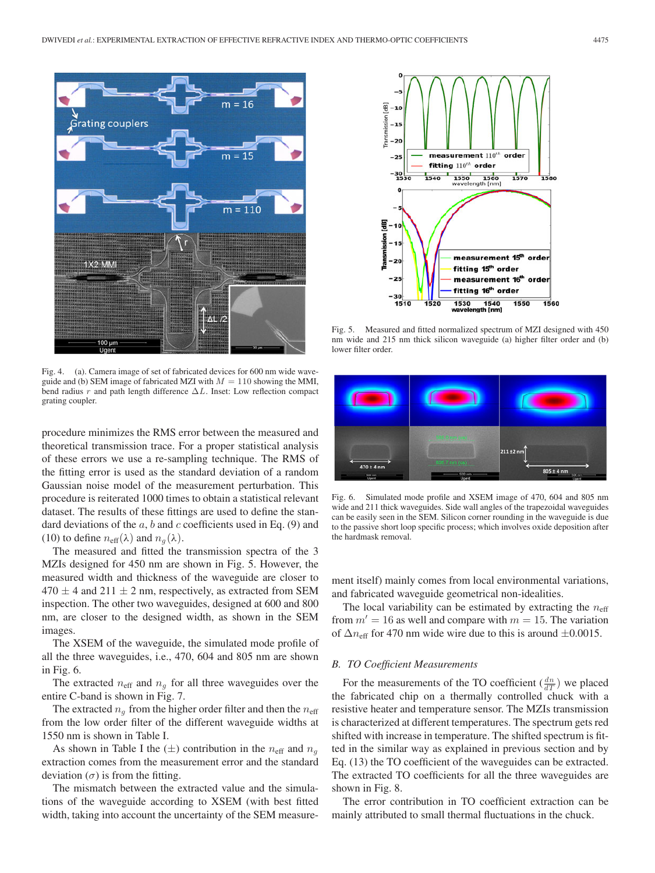

Fig. 4. (a). Camera image of set of fabricated devices for 600 nm wide waveguide and (b) SEM image of fabricated MZI with  $M = 110$  showing the MMI, bend radius r and path length difference  $\Delta L$ . Inset: Low reflection compact grating coupler.

procedure minimizes the RMS error between the measured and theoretical transmission trace. For a proper statistical analysis of these errors we use a re-sampling technique. The RMS of the fitting error is used as the standard deviation of a random Gaussian noise model of the measurement perturbation. This procedure is reiterated 1000 times to obtain a statistical relevant dataset. The results of these fittings are used to define the standard deviations of the  $a$ ,  $b$  and  $c$  coefficients used in Eq. (9) and (10) to define  $n_{\text{eff}}(\lambda)$  and  $n_q(\lambda)$ .

The measured and fitted the transmission spectra of the 3 MZIs designed for 450 nm are shown in Fig. 5. However, the measured width and thickness of the waveguide are closer to  $470 \pm 4$  and  $211 \pm 2$  nm, respectively, as extracted from SEM inspection. The other two waveguides, designed at 600 and 800 nm, are closer to the designed width, as shown in the SEM images.

The XSEM of the waveguide, the simulated mode profile of all the three waveguides, i.e., 470, 604 and 805 nm are shown in Fig. 6.

The extracted  $n_{\text{eff}}$  and  $n_g$  for all three waveguides over the entire C-band is shown in Fig. 7.

The extracted  $n_a$  from the higher order filter and then the  $n_{\text{eff}}$ from the low order filter of the different waveguide widths at 1550 nm is shown in Table I.

As shown in Table I the  $(\pm)$  contribution in the  $n_{\text{eff}}$  and  $n_g$ extraction comes from the measurement error and the standard deviation  $(\sigma)$  is from the fitting.

The mismatch between the extracted value and the simulations of the waveguide according to XSEM (with best fitted width, taking into account the uncertainty of the SEM measure-



Fig. 5. Measured and fitted normalized spectrum of MZI designed with 450 nm wide and 215 nm thick silicon waveguide (a) higher filter order and (b) lower filter order.



Fig. 6. Simulated mode profile and XSEM image of 470, 604 and 805 nm wide and 211 thick waveguides. Side wall angles of the trapezoidal waveguides can be easily seen in the SEM. Silicon corner rounding in the waveguide is due to the passive short loop specific process; which involves oxide deposition after the hardmask removal.

ment itself) mainly comes from local environmental variations, and fabricated waveguide geometrical non-idealities.

The local variability can be estimated by extracting the  $n_{\text{eff}}$ from  $m' = 16$  as well and compare with  $m = 15$ . The variation of  $\Delta n_{\text{eff}}$  for 470 nm wide wire due to this is around  $\pm 0.0015$ .

#### *B. TO Coefficient Measurements*

For the measurements of the TO coefficient  $\left(\frac{dn}{dT}\right)$  we placed the fabricated chip on a thermally controlled chuck with a resistive heater and temperature sensor. The MZIs transmission is characterized at different temperatures. The spectrum gets red shifted with increase in temperature. The shifted spectrum is fitted in the similar way as explained in previous section and by Eq. (13) the TO coefficient of the waveguides can be extracted. The extracted TO coefficients for all the three waveguides are shown in Fig. 8.

The error contribution in TO coefficient extraction can be mainly attributed to small thermal fluctuations in the chuck.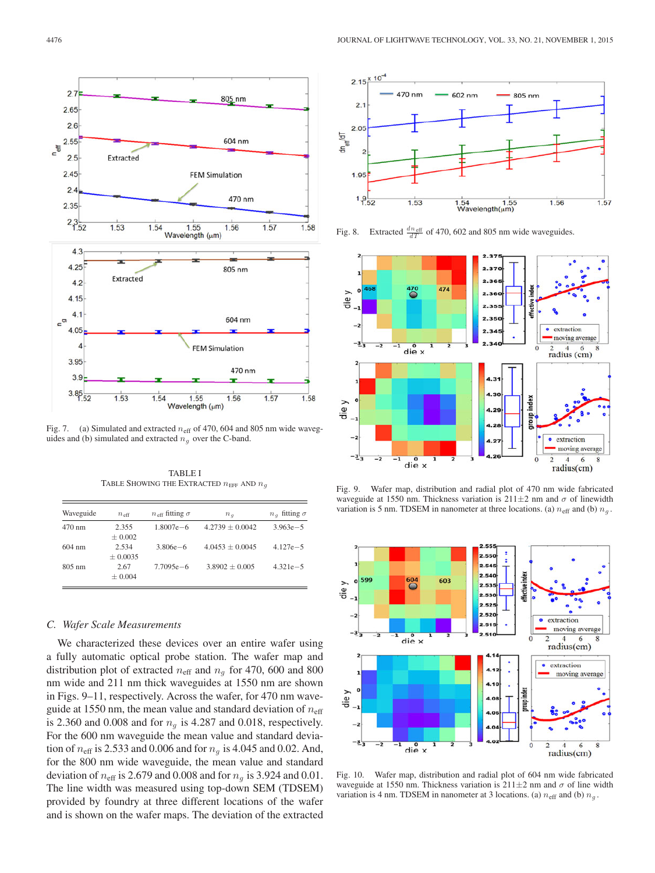

Fig. 7. (a) Simulated and extracted  $n_{\text{eff}}$  of 470, 604 and 805 nm wide waveguides and (b) simulated and extracted  $n_q$  over the C-band.

TABLE I TABLE SHOWING THE EXTRACTED  $n_{\text{EFF}}$  and  $n_g$ 

| Waveguide        | $n_{\text{eff}}$      | $n_{\text{eff}}$ fitting $\sigma$ | $n_{q}$             | $n_a$ fitting $\sigma$ |
|------------------|-----------------------|-----------------------------------|---------------------|------------------------|
| $470 \text{ nm}$ | 2.355<br>$\pm 0.002$  | $1.8007e - 6$                     | $4.2739 \pm 0.0042$ | $3.963e - 5$           |
| $604$ nm         | 2.534<br>$\pm 0.0035$ | $3.806e - 6$                      | $4.0453 \pm 0.0045$ | $4.127e - 5$           |
| $805 \text{ nm}$ | 2.67<br>$\pm 0.004$   | $7.7095e - 6$                     | $3.8902 + 0.005$    | $4.321e - 5$           |

# *C. Wafer Scale Measurements*

We characterized these devices over an entire wafer using a fully automatic optical probe station. The wafer map and distribution plot of extracted  $n_{\text{eff}}$  and  $n_g$  for 470, 600 and 800 nm wide and 211 nm thick waveguides at 1550 nm are shown in Figs. 9–11, respectively. Across the wafer, for 470 nm waveguide at 1550 nm, the mean value and standard deviation of  $n_{\text{eff}}$ is 2.360 and 0.008 and for  $n_q$  is 4.287 and 0.018, respectively. For the 600 nm waveguide the mean value and standard deviation of  $n_{\text{eff}}$  is 2.533 and 0.006 and for  $n_q$  is 4.045 and 0.02. And, for the 800 nm wide waveguide, the mean value and standard deviation of  $n_{\text{eff}}$  is 2.679 and 0.008 and for  $n_q$  is 3.924 and 0.01. The line width was measured using top-down SEM (TDSEM) provided by foundry at three different locations of the wafer and is shown on the wafer maps. The deviation of the extracted



Fig. 8. Extracted  $\frac{dn_{\text{eff}}}{dT}$  of 470, 602 and 805 nm wide waveguides.



Fig. 9. Wafer map, distribution and radial plot of 470 nm wide fabricated waveguide at 1550 nm. Thickness variation is  $211 \pm 2$  nm and  $\sigma$  of linewidth variation is 5 nm. TDSEM in nanometer at three locations. (a)  $n_{\text{eff}}$  and (b)  $n_q$ .



Fig. 10. Wafer map, distribution and radial plot of 604 nm wide fabricated waveguide at 1550 nm. Thickness variation is  $211\pm2$  nm and  $\sigma$  of line width variation is 4 nm. TDSEM in nanometer at 3 locations. (a)  $n_{\text{eff}}$  and (b)  $n_g$ .